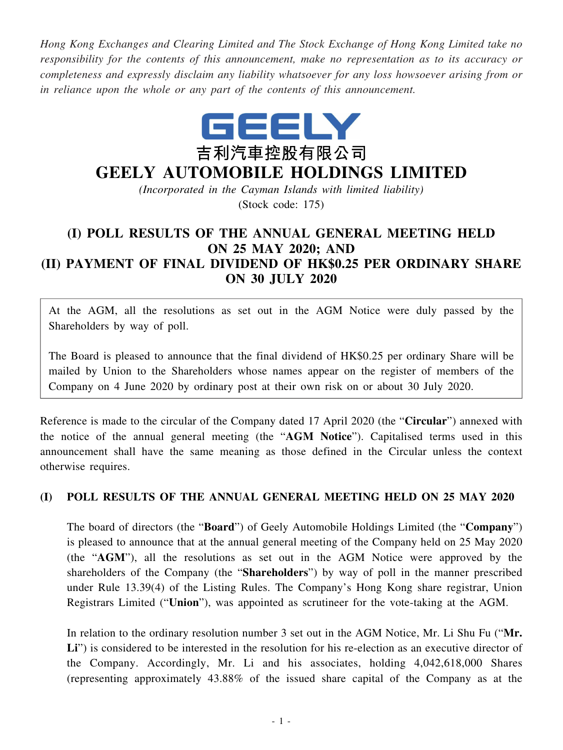*Hong Kong Exchanges and Clearing Limited and The Stock Exchange of Hong Kong Limited take no responsibility for the contents of this announcement, make no representation as to its accuracy or completeness and expressly disclaim any liability whatsoever for any loss howsoever arising from or in reliance upon the whole or any part of the contents of this announcement.*



## **GEELY AUTOMOBILE HOLDINGS LIMITED**

*(Incorporated in the Cayman Islands with limited liability)* (Stock code: 175)

## **(I) POLL RESULTS OF THE ANNUAL GENERAL MEETING HELD ON 25 MAY 2020; AND (II) PAYMENT OF FINAL DIVIDEND OF HK\$0.25 PER ORDINARY SHARE ON 30 JULY 2020**

At the AGM, all the resolutions as set out in the AGM Notice were duly passed by the Shareholders by way of poll.

The Board is pleased to announce that the final dividend of HK\$0.25 per ordinary Share will be mailed by Union to the Shareholders whose names appear on the register of members of the Company on 4 June 2020 by ordinary post at their own risk on or about 30 July 2020.

Reference is made to the circular of the Company dated 17 April 2020 (the "**Circular**") annexed with the notice of the annual general meeting (the "**AGM Notice**"). Capitalised terms used in this announcement shall have the same meaning as those defined in the Circular unless the context otherwise requires.

## **(I) POLL RESULTS OF THE ANNUAL GENERAL MEETING HELD ON 25 MAY 2020**

The board of directors (the "**Board**") of Geely Automobile Holdings Limited (the "**Company**") is pleased to announce that at the annual general meeting of the Company held on 25 May 2020 (the "**AGM**"), all the resolutions as set out in the AGM Notice were approved by the shareholders of the Company (the "**Shareholders**") by way of poll in the manner prescribed under Rule 13.39(4) of the Listing Rules. The Company's Hong Kong share registrar, Union Registrars Limited ("**Union**"), was appointed as scrutineer for the vote-taking at the AGM.

In relation to the ordinary resolution number 3 set out in the AGM Notice, Mr. Li Shu Fu ("**Mr.** Li") is considered to be interested in the resolution for his re-election as an executive director of the Company. Accordingly, Mr. Li and his associates, holding 4,042,618,000 Shares (representing approximately 43.88% of the issued share capital of the Company as at the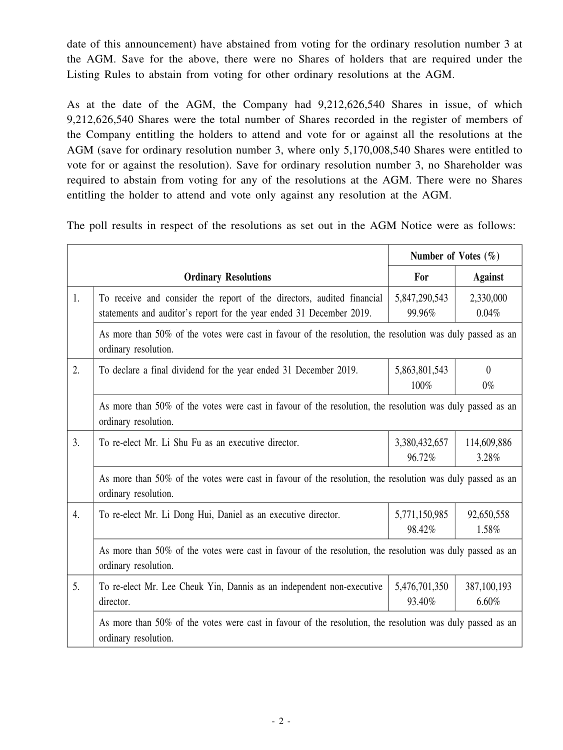date of this announcement) have abstained from voting for the ordinary resolution number 3 at the AGM. Save for the above, there were no Shares of holders that are required under the Listing Rules to abstain from voting for other ordinary resolutions at the AGM.

As at the date of the AGM, the Company had 9,212,626,540 Shares in issue, of which 9,212,626,540 Shares were the total number of Shares recorded in the register of members of the Company entitling the holders to attend and vote for or against all the resolutions at the AGM (save for ordinary resolution number 3, where only 5,170,008,540 Shares were entitled to vote for or against the resolution). Save for ordinary resolution number 3, no Shareholder was required to abstain from voting for any of the resolutions at the AGM. There were no Shares entitling the holder to attend and vote only against any resolution at the AGM.

The poll results in respect of the resolutions as set out in the AGM Notice were as follows:

|    |                                                                                                                                                | Number of Votes $(\% )$ |                      |  |
|----|------------------------------------------------------------------------------------------------------------------------------------------------|-------------------------|----------------------|--|
|    | <b>Ordinary Resolutions</b>                                                                                                                    | For                     | <b>Against</b>       |  |
| 1. | To receive and consider the report of the directors, audited financial<br>statements and auditor's report for the year ended 31 December 2019. | 5,847,290,543<br>99.96% | 2,330,000<br>0.04%   |  |
|    | As more than 50% of the votes were cast in favour of the resolution, the resolution was duly passed as an<br>ordinary resolution.              |                         |                      |  |
| 2. | To declare a final dividend for the year ended 31 December 2019.                                                                               | 5,863,801,543<br>100%   | $\theta$<br>$0\%$    |  |
|    | As more than 50% of the votes were cast in favour of the resolution, the resolution was duly passed as an<br>ordinary resolution.              |                         |                      |  |
| 3. | To re-elect Mr. Li Shu Fu as an executive director.                                                                                            | 3,380,432,657<br>96.72% | 114,609,886<br>3.28% |  |
|    | As more than 50% of the votes were cast in favour of the resolution, the resolution was duly passed as an<br>ordinary resolution.              |                         |                      |  |
| 4. | To re-elect Mr. Li Dong Hui, Daniel as an executive director.                                                                                  | 5,771,150,985<br>98.42% | 92,650,558<br>1.58%  |  |
|    | As more than 50% of the votes were cast in favour of the resolution, the resolution was duly passed as an<br>ordinary resolution.              |                         |                      |  |
| 5. | To re-elect Mr. Lee Cheuk Yin, Dannis as an independent non-executive<br>director.                                                             | 5,476,701,350<br>93.40% | 387,100,193<br>6.60% |  |
|    | As more than 50% of the votes were cast in favour of the resolution, the resolution was duly passed as an<br>ordinary resolution.              |                         |                      |  |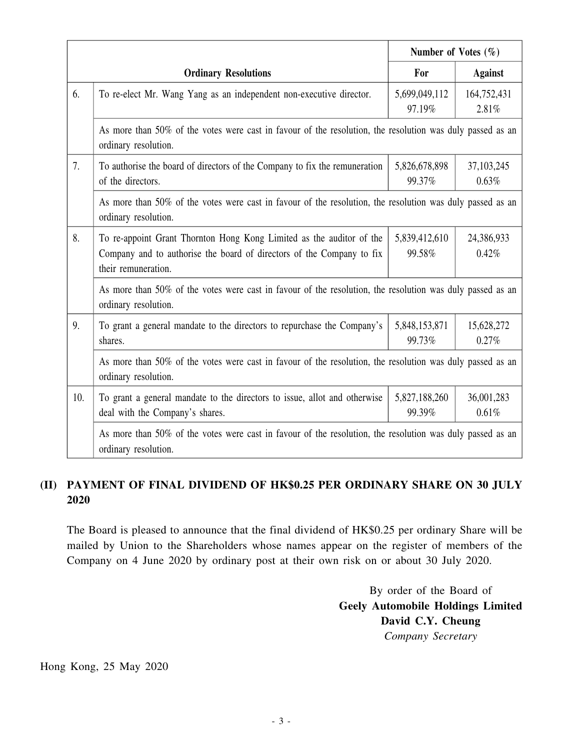|     |                                                                                                                                                                      | Number of Votes $(\% )$ |                       |  |
|-----|----------------------------------------------------------------------------------------------------------------------------------------------------------------------|-------------------------|-----------------------|--|
|     | <b>Ordinary Resolutions</b>                                                                                                                                          | For                     | <b>Against</b>        |  |
| 6.  | To re-elect Mr. Wang Yang as an independent non-executive director.                                                                                                  | 5,699,049,112<br>97.19% | 164,752,431<br>2.81%  |  |
|     | As more than 50% of the votes were cast in favour of the resolution, the resolution was duly passed as an<br>ordinary resolution.                                    |                         |                       |  |
| 7.  | To authorise the board of directors of the Company to fix the remuneration<br>of the directors.                                                                      | 5,826,678,898<br>99.37% | 37, 103, 245<br>0.63% |  |
|     | As more than 50% of the votes were cast in favour of the resolution, the resolution was duly passed as an<br>ordinary resolution.                                    |                         |                       |  |
| 8.  | To re-appoint Grant Thornton Hong Kong Limited as the auditor of the<br>Company and to authorise the board of directors of the Company to fix<br>their remuneration. | 5,839,412,610<br>99.58% | 24,386,933<br>0.42%   |  |
|     | As more than 50% of the votes were cast in favour of the resolution, the resolution was duly passed as an<br>ordinary resolution.                                    |                         |                       |  |
| 9.  | To grant a general mandate to the directors to repurchase the Company's<br>shares.                                                                                   | 5,848,153,871<br>99.73% | 15,628,272<br>0.27%   |  |
|     | As more than 50% of the votes were cast in favour of the resolution, the resolution was duly passed as an<br>ordinary resolution.                                    |                         |                       |  |
| 10. | To grant a general mandate to the directors to issue, allot and otherwise<br>deal with the Company's shares.                                                         | 5,827,188,260<br>99.39% | 36,001,283<br>0.61%   |  |
|     | As more than 50% of the votes were cast in favour of the resolution, the resolution was duly passed as an<br>ordinary resolution.                                    |                         |                       |  |

## **(II) PAYMENT OF FINAL DIVIDEND OF HK\$0.25 PER ORDINARY SHARE ON 30 JULY 2020**

The Board is pleased to announce that the final dividend of HK\$0.25 per ordinary Share will be mailed by Union to the Shareholders whose names appear on the register of members of the Company on 4 June 2020 by ordinary post at their own risk on or about 30 July 2020.

> By order of the Board of **Geely Automobile Holdings Limited David C.Y. Cheung** *Company Secretary*

Hong Kong, 25 May 2020